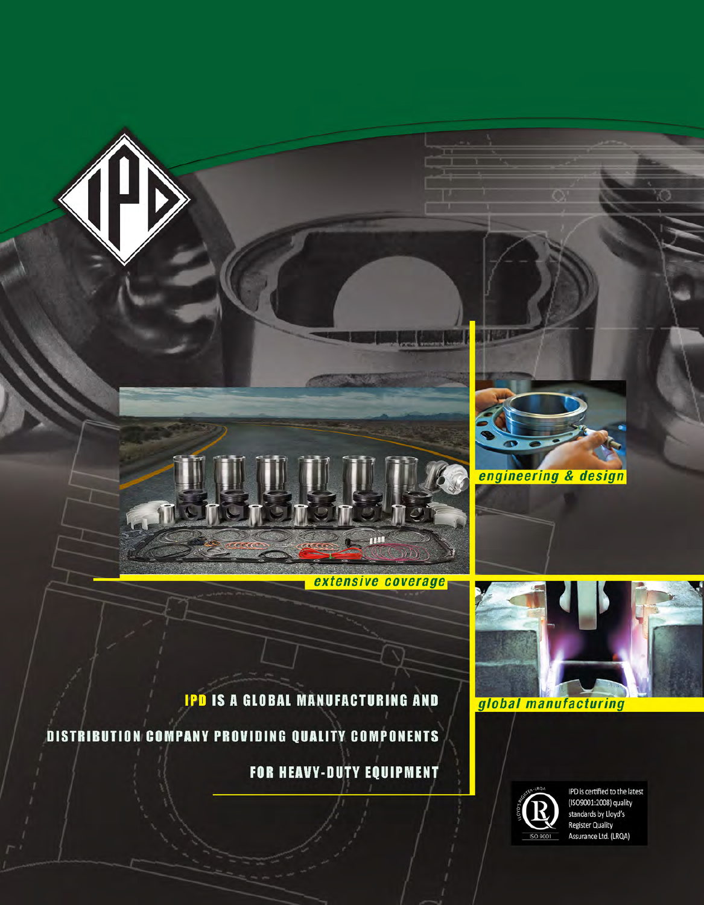



**IPD IS A GLOBAL MANUFACTURING AND** 

m

extensive coverage

 $0)$ 

DISTRIBUTION COMPANY PROVIDING QUALITY COMPONENTS

FOR HEAVY-DUTY EQUIPMENT

global manufacturing



IPD is certified to the latest (ISO9001:2008) quality standards by Lloyd's **Register Quality** Assurance Ltd. (LRQA)